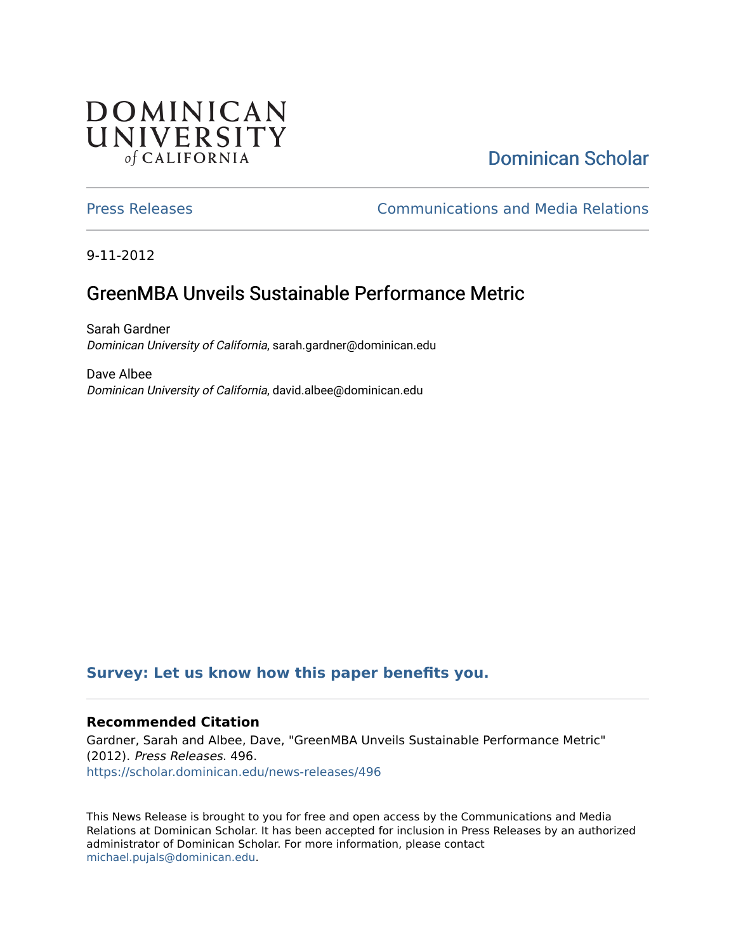## **DOMINICAN** UNIVERSITY of CALIFORNIA

# [Dominican Scholar](https://scholar.dominican.edu/)

[Press Releases](https://scholar.dominican.edu/news-releases) [Communications and Media Relations](https://scholar.dominican.edu/communications-media) 

9-11-2012

# GreenMBA Unveils Sustainable Performance Metric

Sarah Gardner Dominican University of California, sarah.gardner@dominican.edu

Dave Albee Dominican University of California, david.albee@dominican.edu

### **[Survey: Let us know how this paper benefits you.](https://dominican.libwizard.com/dominican-scholar-feedback)**

#### **Recommended Citation**

Gardner, Sarah and Albee, Dave, "GreenMBA Unveils Sustainable Performance Metric" (2012). Press Releases. 496. [https://scholar.dominican.edu/news-releases/496](https://scholar.dominican.edu/news-releases/496?utm_source=scholar.dominican.edu%2Fnews-releases%2F496&utm_medium=PDF&utm_campaign=PDFCoverPages)

This News Release is brought to you for free and open access by the Communications and Media Relations at Dominican Scholar. It has been accepted for inclusion in Press Releases by an authorized administrator of Dominican Scholar. For more information, please contact [michael.pujals@dominican.edu.](mailto:michael.pujals@dominican.edu)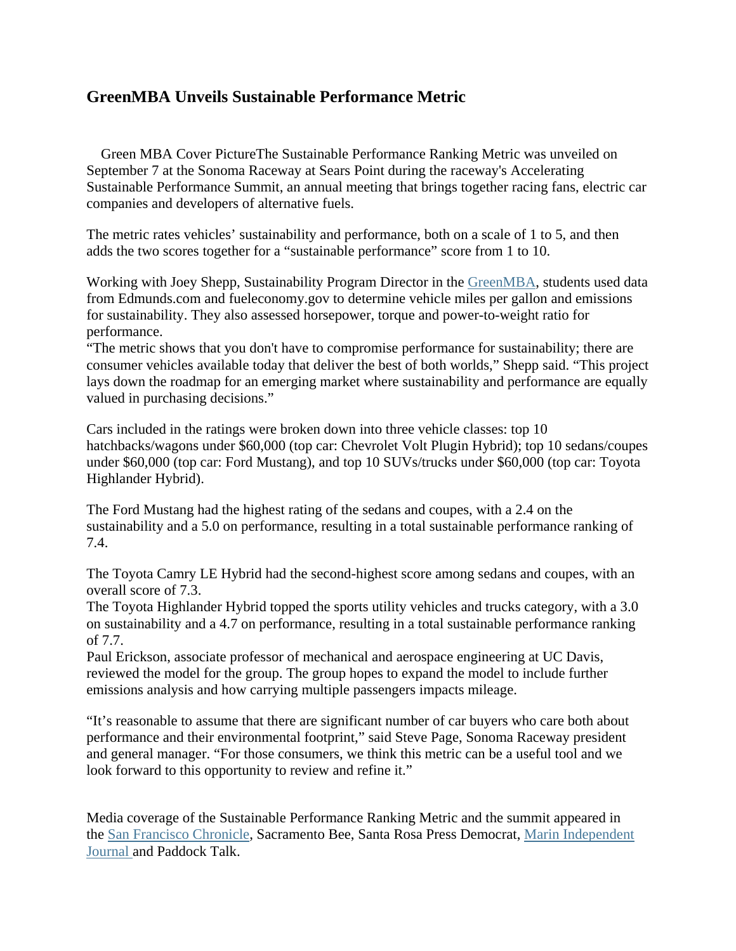### **GreenMBA Unveils Sustainable Performance Metric**

Green MBA Cover PictureThe Sustainable Performance Ranking Metric was unveiled on September 7 at the Sonoma Raceway at Sears Point during the raceway's Accelerating Sustainable Performance Summit, an annual meeting that brings together racing fans, electric car companies and developers of alternative fuels.

The metric rates vehicles' sustainability and performance, both on a scale of 1 to 5, and then adds the two scores together for a "sustainable performance" score from 1 to 10.

Working with Joey Shepp, Sustainability Program Director in the GreenMBA, students used data from Edmunds.com and fueleconomy.gov to determine vehicle miles per gallon and emissions for sustainability. They also assessed horsepower, torque and power-to-weight ratio for performance.

"The metric shows that you don't have to compromise performance for sustainability; there are consumer vehicles available today that deliver the best of both worlds," Shepp said. "This project lays down the roadmap for an emerging market where sustainability and performance are equally valued in purchasing decisions."

Cars included in the ratings were broken down into three vehicle classes: top 10 hatchbacks/wagons under \$60,000 (top car: Chevrolet Volt Plugin Hybrid); top 10 sedans/coupes under \$60,000 (top car: Ford Mustang), and top 10 SUVs/trucks under \$60,000 (top car: Toyota Highlander Hybrid).

The Ford Mustang had the highest rating of the sedans and coupes, with a 2.4 on the sustainability and a 5.0 on performance, resulting in a total sustainable performance ranking of 7.4.

The Toyota Camry LE Hybrid had the second-highest score among sedans and coupes, with an overall score of 7.3.

The Toyota Highlander Hybrid topped the sports utility vehicles and trucks category, with a 3.0 on sustainability and a 4.7 on performance, resulting in a total sustainable performance ranking of 7.7.

Paul Erickson, associate professor of mechanical and aerospace engineering at UC Davis, reviewed the model for the group. The group hopes to expand the model to include further emissions analysis and how carrying multiple passengers impacts mileage.

"It's reasonable to assume that there are significant number of car buyers who care both about performance and their environmental footprint," said Steve Page, Sonoma Raceway president and general manager. "For those consumers, we think this metric can be a useful tool and we look forward to this opportunity to review and refine it."

Media coverage of the Sustainable Performance Ranking Metric and the summit appeared in the San Francisco Chronicle, Sacramento Bee, Santa Rosa Press Democrat, Marin Independent Journal and Paddock Talk.